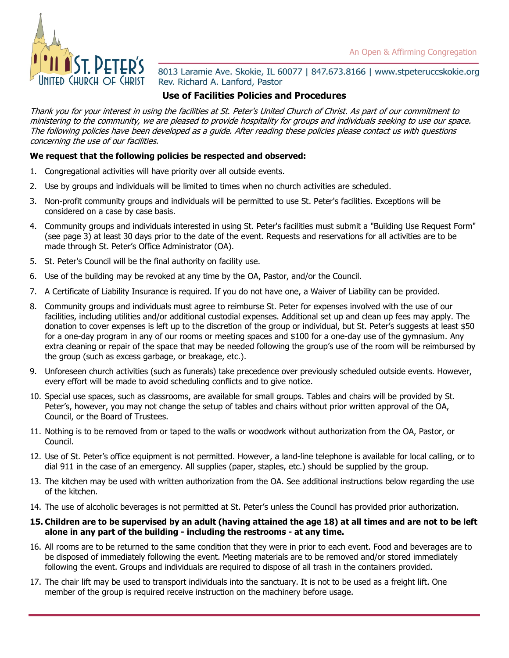

8013 Laramie Ave. Skokie, IL 60077 | 847.673.8166 | www.stpeteruccskokie.org Rev. Richard A. Lanford, Pastor

## **Use of Facilities Policies and Procedures**

Thank you for your interest in using the facilities at St. Peter's United Church of Christ. As part of our commitment to ministering to the community, we are pleased to provide hospitality for groups and individuals seeking to use our space. The following policies have been developed as a guide. After reading these policies please contact us with questions concerning the use of our facilities.

## **We request that the following policies be respected and observed:**

- 1. Congregational activities will have priority over all outside events.
- 2. Use by groups and individuals will be limited to times when no church activities are scheduled.
- 3. Non-profit community groups and individuals will be permitted to use St. Peter's facilities. Exceptions will be considered on a case by case basis.
- 4. Community groups and individuals interested in using St. Peter's facilities must submit a "Building Use Request Form" (see page 3) at least 30 days prior to the date of the event. Requests and reservations for all activities are to be made through St. Peter's Office Administrator (OA).
- 5. St. Peter's Council will be the final authority on facility use.
- 6. Use of the building may be revoked at any time by the OA, Pastor, and/or the Council.
- 7. A Certificate of Liability Insurance is required. If you do not have one, a Waiver of Liability can be provided.
- 8. Community groups and individuals must agree to reimburse St. Peter for expenses involved with the use of our facilities, including utilities and/or additional custodial expenses. Additional set up and clean up fees may apply. The donation to cover expenses is left up to the discretion of the group or individual, but St. Peter's suggests at least \$50 for a one-day program in any of our rooms or meeting spaces and \$100 for a one-day use of the gymnasium. Any extra cleaning or repair of the space that may be needed following the group's use of the room will be reimbursed by the group (such as excess garbage, or breakage, etc.).
- 9. Unforeseen church activities (such as funerals) take precedence over previously scheduled outside events. However, every effort will be made to avoid scheduling conflicts and to give notice.
- 10. Special use spaces, such as classrooms, are available for small groups. Tables and chairs will be provided by St. Peter's, however, you may not change the setup of tables and chairs without prior written approval of the OA, Council, or the Board of Trustees.
- 11. Nothing is to be removed from or taped to the walls or woodwork without authorization from the OA, Pastor, or Council.
- 12. Use of St. Peter's office equipment is not permitted. However, a land-line telephone is available for local calling, or to dial 911 in the case of an emergency. All supplies (paper, staples, etc.) should be supplied by the group.
- 13. The kitchen may be used with written authorization from the OA. See additional instructions below regarding the use of the kitchen.
- 14. The use of alcoholic beverages is not permitted at St. Peter's unless the Council has provided prior authorization.
- **15. Children are to be supervised by an adult (having attained the age 18) at all times and are not to be left alone in any part of the building - including the restrooms - at any time.**
- 16. All rooms are to be returned to the same condition that they were in prior to each event. Food and beverages are to be disposed of immediately following the event. Meeting materials are to be removed and/or stored immediately following the event. Groups and individuals are required to dispose of all trash in the containers provided.
- 17. The chair lift may be used to transport individuals into the sanctuary. It is not to be used as a freight lift. One member of the group is required receive instruction on the machinery before usage.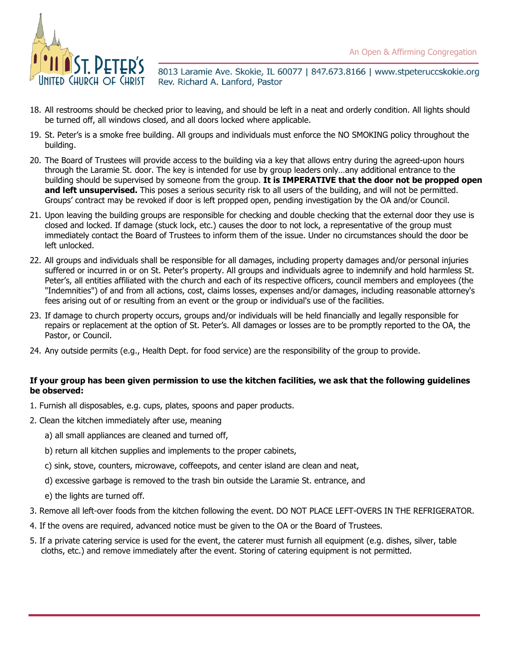

8013 Laramie Ave. Skokie, IL 60077 | 847.673.8166 | www.stpeteruccskokie.org Rev. Richard A. Lanford, Pastor

- 18. All restrooms should be checked prior to leaving, and should be left in a neat and orderly condition. All lights should be turned off, all windows closed, and all doors locked where applicable.
- 19. St. Peter's is a smoke free building. All groups and individuals must enforce the NO SMOKING policy throughout the building.
- 20. The Board of Trustees will provide access to the building via a key that allows entry during the agreed-upon hours through the Laramie St. door. The key is intended for use by group leaders only…any additional entrance to the building should be supervised by someone from the group. **It is IMPERATIVE that the door not be propped open and left unsupervised.** This poses a serious security risk to all users of the building, and will not be permitted. Groups' contract may be revoked if door is left propped open, pending investigation by the OA and/or Council.
- 21. Upon leaving the building groups are responsible for checking and double checking that the external door they use is closed and locked. If damage (stuck lock, etc.) causes the door to not lock, a representative of the group must immediately contact the Board of Trustees to inform them of the issue. Under no circumstances should the door be left unlocked.
- 22. All groups and individuals shall be responsible for all damages, including property damages and/or personal injuries suffered or incurred in or on St. Peter's property. All groups and individuals agree to indemnify and hold harmless St. Peter's, all entities affiliated with the church and each of its respective officers, council members and employees (the "Indemnities") of and from all actions, cost, claims losses, expenses and/or damages, including reasonable attorney's fees arising out of or resulting from an event or the group or individual's use of the facilities.
- 23. If damage to church property occurs, groups and/or individuals will be held financially and legally responsible for repairs or replacement at the option of St. Peter's. All damages or losses are to be promptly reported to the OA, the Pastor, or Council.
- 24. Any outside permits (e.g., Health Dept. for food service) are the responsibility of the group to provide.

## **If your group has been given permission to use the kitchen facilities, we ask that the following guidelines be observed:**

- 1. Furnish all disposables, e.g. cups, plates, spoons and paper products.
- 2. Clean the kitchen immediately after use, meaning
	- a) all small appliances are cleaned and turned off,
	- b) return all kitchen supplies and implements to the proper cabinets,
	- c) sink, stove, counters, microwave, coffeepots, and center island are clean and neat,
	- d) excessive garbage is removed to the trash bin outside the Laramie St. entrance, and
	- e) the lights are turned off.
- 3. Remove all left-over foods from the kitchen following the event. DO NOT PLACE LEFT-OVERS IN THE REFRIGERATOR.
- 4. If the ovens are required, advanced notice must be given to the OA or the Board of Trustees.
- 5. If a private catering service is used for the event, the caterer must furnish all equipment (e.g. dishes, silver, table cloths, etc.) and remove immediately after the event. Storing of catering equipment is not permitted.